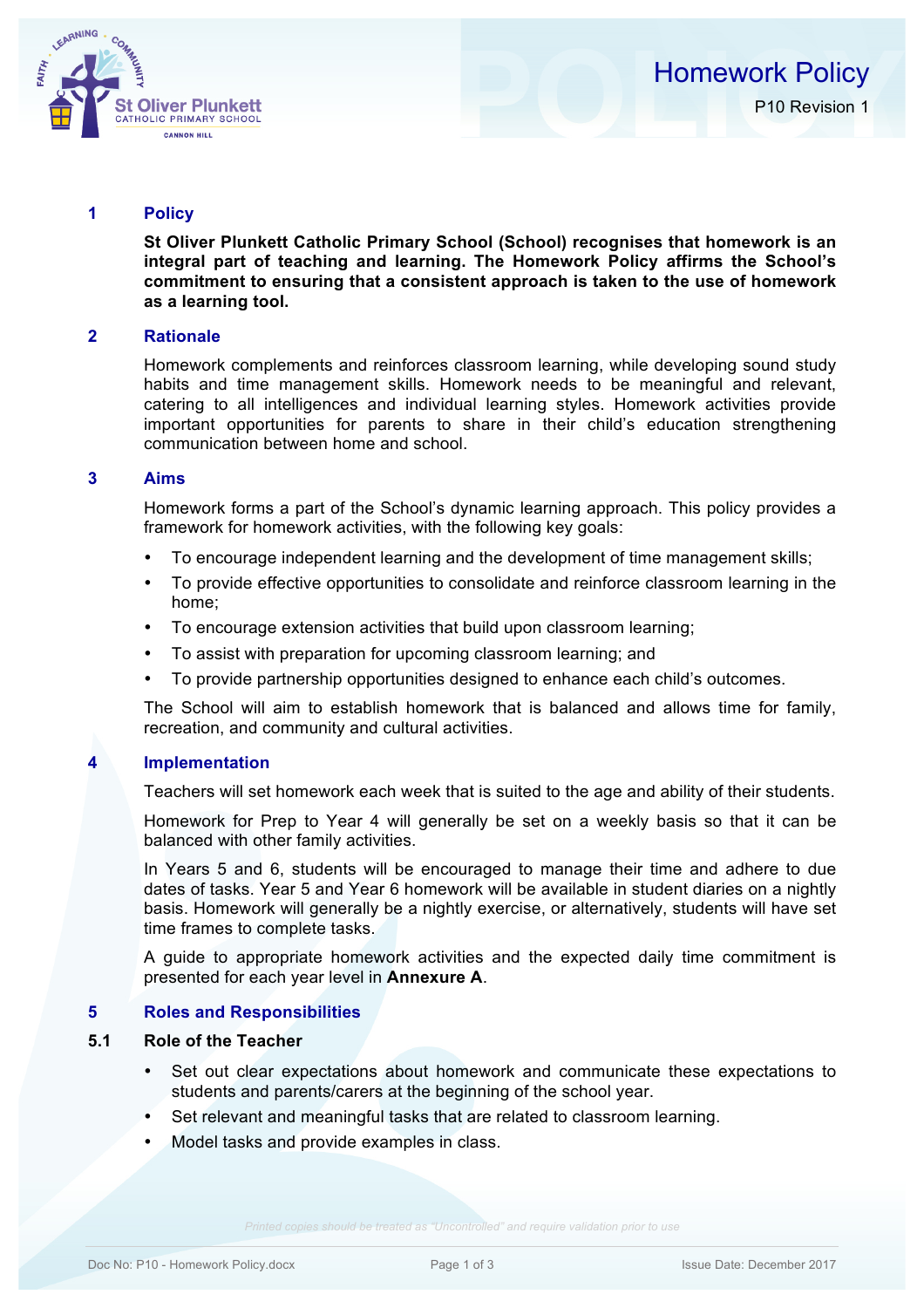

## **1 Policy**

**St Oliver Plunkett Catholic Primary School (School) recognises that homework is an integral part of teaching and learning. The Homework Policy affirms the School's commitment to ensuring that a consistent approach is taken to the use of homework as a learning tool.**

#### **2 Rationale**

Homework complements and reinforces classroom learning, while developing sound study habits and time management skills. Homework needs to be meaningful and relevant, catering to all intelligences and individual learning styles. Homework activities provide important opportunities for parents to share in their child's education strengthening communication between home and school.

## **3 Aims**

Homework forms a part of the School's dynamic learning approach. This policy provides a framework for homework activities, with the following key goals:

- To encourage independent learning and the development of time management skills;
- To provide effective opportunities to consolidate and reinforce classroom learning in the home;
- To encourage extension activities that build upon classroom learning;
- To assist with preparation for upcoming classroom learning; and
- To provide partnership opportunities designed to enhance each child's outcomes.

The School will aim to establish homework that is balanced and allows time for family, recreation, and community and cultural activities.

## **4 Implementation**

Teachers will set homework each week that is suited to the age and ability of their students.

Homework for Prep to Year 4 will generally be set on a weekly basis so that it can be balanced with other family activities.

In Years 5 and 6, students will be encouraged to manage their time and adhere to due dates of tasks. Year 5 and Year 6 homework will be available in student diaries on a nightly basis. Homework will generally be a nightly exercise, or alternatively, students will have set time frames to complete tasks.

A guide to appropriate homework activities and the expected daily time commitment is presented for each year level in **Annexure A**.

## **5 Roles and Responsibilities**

## **5.1 Role of the Teacher**

- Set out clear expectations about homework and communicate these expectations to students and parents/carers at the beginning of the school year.
- Set relevant and meaningful tasks that are related to classroom learning.
- Model tasks and provide examples in class.

*Printed copies should be treated as "Uncontrolled" and require validation prior to use*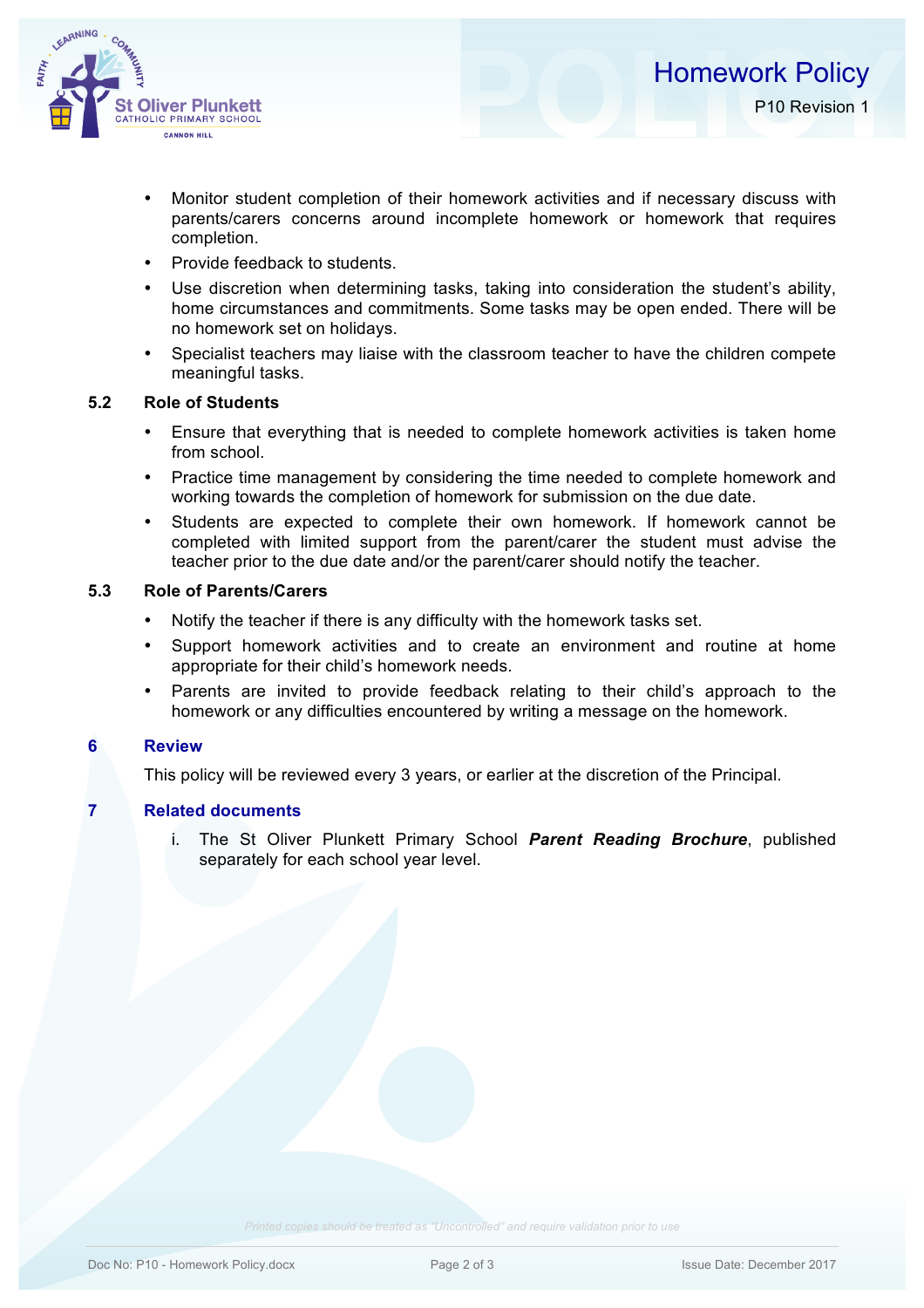

- Monitor student completion of their homework activities and if necessary discuss with parents/carers concerns around incomplete homework or homework that requires completion.
- Provide feedback to students.
- Use discretion when determining tasks, taking into consideration the student's ability, home circumstances and commitments. Some tasks may be open ended. There will be no homework set on holidays.
- Specialist teachers may liaise with the classroom teacher to have the children compete meaningful tasks.

# **5.2 Role of Students**

- Ensure that everything that is needed to complete homework activities is taken home from school.
- Practice time management by considering the time needed to complete homework and working towards the completion of homework for submission on the due date.
- Students are expected to complete their own homework. If homework cannot be completed with limited support from the parent/carer the student must advise the teacher prior to the due date and/or the parent/carer should notify the teacher.

# **5.3 Role of Parents/Carers**

- Notify the teacher if there is any difficulty with the homework tasks set.
- Support homework activities and to create an environment and routine at home appropriate for their child's homework needs.
- Parents are invited to provide feedback relating to their child's approach to the homework or any difficulties encountered by writing a message on the homework.

# **6 Review**

This policy will be reviewed every 3 years, or earlier at the discretion of the Principal.

## **7 Related documents**

i. The St Oliver Plunkett Primary School *Parent Reading Brochure*, published separately for each school year level.

*Printed copies should be treated as "Uncontrolled" and require validation prior to use*